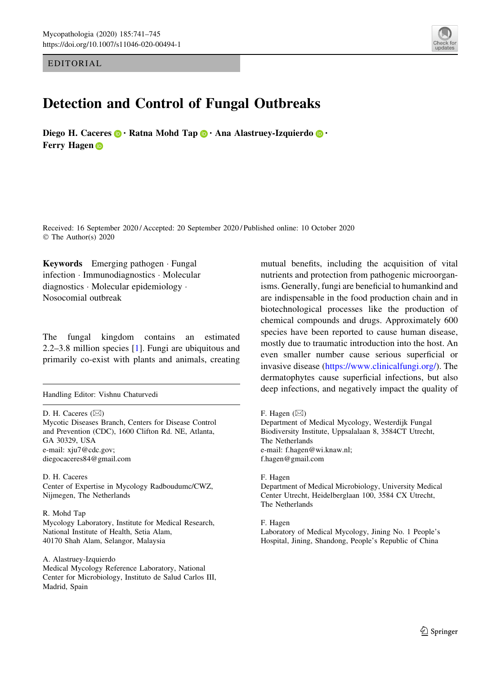EDITORIAL

## Detection and Control of Fungal Outbreaks

Diego H. Caceres  $\mathbf{\odot} \cdot$  Ratna Mohd Tap  $\mathbf{\odot} \cdot$  Ana Alastruey-Izquierdo  $\mathbf{\odot} \cdot$ Ferry Hage[n](http://orcid.org/0000-0002-5622-1916) <sub>ID</sub>



Received: 16 September 2020 / Accepted: 20 September 2020 / Published online: 10 October 2020 © The Author(s) 2020

Keywords Emerging pathogen · Fungal infection - Immunodiagnostics - Molecular diagnostics - Molecular epidemiology - Nosocomial outbreak

The fungal kingdom contains an estimated 2.2–3.8 million species [\[1](#page-3-0)]. Fungi are ubiquitous and primarily co-exist with plants and animals, creating

D. H. Caceres  $(\boxtimes)$ Mycotic Diseases Branch, Centers for Disease Control and Prevention (CDC), 1600 Clifton Rd. NE, Atlanta, GA 30329, USA e-mail: xju7@cdc.gov; diegocaceres84@gmail.com

D. H. Caceres Center of Expertise in Mycology Radboudumc/CWZ, Nijmegen, The Netherlands

R. Mohd Tap Mycology Laboratory, Institute for Medical Research, National Institute of Health, Setia Alam, 40170 Shah Alam, Selangor, Malaysia

A. Alastruey-Izquierdo Medical Mycology Reference Laboratory, National Center for Microbiology, Instituto de Salud Carlos III, Madrid, Spain

mutual benefits, including the acquisition of vital nutrients and protection from pathogenic microorganisms. Generally, fungi are beneficial to humankind and are indispensable in the food production chain and in biotechnological processes like the production of chemical compounds and drugs. Approximately 600 species have been reported to cause human disease, mostly due to traumatic introduction into the host. An even smaller number cause serious superficial or invasive disease [\(https://www.clinicalfungi.org/\)](https://www.clinicalfungi.org/). The dermatophytes cause superficial infections, but also Handling Editor: Vishnu Chaturvedi<br> **deep infections, and negatively impact the quality of** deep infections, and negatively impact the quality of

F. Hagen  $(\boxtimes)$ 

Department of Medical Mycology, Westerdijk Fungal Biodiversity Institute, Uppsalalaan 8, 3584CT Utrecht, The Netherlands e-mail: f.hagen@wi.knaw.nl; f.hagen@gmail.com

F. Hagen

Department of Medical Microbiology, University Medical Center Utrecht, Heidelberglaan 100, 3584 CX Utrecht, The Netherlands

F. Hagen

Laboratory of Medical Mycology, Jining No. 1 People's Hospital, Jining, Shandong, People's Republic of China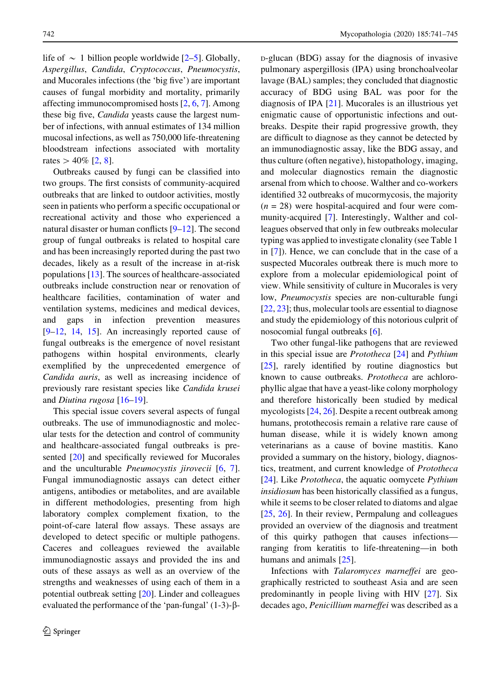life of  $\sim$  1 billion people worldwide [[2–5\]](#page-3-0). Globally, Aspergillus, Candida, Cryptococcus, Pneumocystis, and Mucorales infections (the 'big five') are important causes of fungal morbidity and mortality, primarily affecting immunocompromised hosts [\[2](#page-3-0), [6,](#page-3-0) [7](#page-3-0)]. Among these big five, Candida yeasts cause the largest number of infections, with annual estimates of 134 million mucosal infections, as well as 750,000 life-threatening bloodstream infections associated with mortality rates  $> 40\%$  [\[2](#page-3-0), [8\]](#page-3-0).

Outbreaks caused by fungi can be classified into two groups. The first consists of community-acquired outbreaks that are linked to outdoor activities, mostly seen in patients who perform a specific occupational or recreational activity and those who experienced a natural disaster or human conflicts [[9–12\]](#page-3-0). The second group of fungal outbreaks is related to hospital care and has been increasingly reported during the past two decades, likely as a result of the increase in at-risk populations [[13\]](#page-3-0). The sources of healthcare-associated outbreaks include construction near or renovation of healthcare facilities, contamination of water and ventilation systems, medicines and medical devices, and gaps in infection prevention measures [\[9–12](#page-3-0), [14,](#page-3-0) [15](#page-3-0)]. An increasingly reported cause of fungal outbreaks is the emergence of novel resistant pathogens within hospital environments, clearly exemplified by the unprecedented emergence of Candida auris, as well as increasing incidence of previously rare resistant species like Candida krusei and Diutina rugosa [\[16–19](#page-3-0)].

This special issue covers several aspects of fungal outbreaks. The use of immunodiagnostic and molecular tests for the detection and control of community and healthcare-associated fungal outbreaks is presented [\[20](#page-3-0)] and specifically reviewed for Mucorales and the unculturable Pneumocystis jirovecii [\[6](#page-3-0), [7](#page-3-0)]. Fungal immunodiagnostic assays can detect either antigens, antibodies or metabolites, and are available in different methodologies, presenting from high laboratory complex complement fixation, to the point-of-care lateral flow assays. These assays are developed to detect specific or multiple pathogens. Caceres and colleagues reviewed the available immunodiagnostic assays and provided the ins and outs of these assays as well as an overview of the strengths and weaknesses of using each of them in a potential outbreak setting [[20\]](#page-3-0). Linder and colleagues evaluated the performance of the 'pan-fungal'  $(1-3)$ - $\beta$ - D-glucan (BDG) assay for the diagnosis of invasive pulmonary aspergillosis (IPA) using bronchoalveolar lavage (BAL) samples; they concluded that diagnostic accuracy of BDG using BAL was poor for the diagnosis of IPA [\[21](#page-3-0)]. Mucorales is an illustrious yet enigmatic cause of opportunistic infections and outbreaks. Despite their rapid progressive growth, they are difficult to diagnose as they cannot be detected by an immunodiagnostic assay, like the BDG assay, and thus culture (often negative), histopathology, imaging, and molecular diagnostics remain the diagnostic arsenal from which to choose. Walther and co-workers identified 32 outbreaks of mucormycosis, the majority  $(n = 28)$  were hospital-acquired and four were community-acquired [\[7](#page-3-0)]. Interestingly, Walther and colleagues observed that only in few outbreaks molecular typing was applied to investigate clonality (see Table 1 in [\[7](#page-3-0)]). Hence, we can conclude that in the case of a suspected Mucorales outbreak there is much more to explore from a molecular epidemiological point of view. While sensitivity of culture in Mucorales is very low, Pneumocystis species are non-culturable fungi [\[22](#page-3-0), [23](#page-3-0)]; thus, molecular tools are essential to diagnose and study the epidemiology of this notorious culprit of nosocomial fungal outbreaks [\[6](#page-3-0)].

Two other fungal-like pathogens that are reviewed in this special issue are Prototheca [\[24](#page-3-0)] and Pythium [\[25](#page-3-0)], rarely identified by routine diagnostics but known to cause outbreaks. Prototheca are achlorophyllic algae that have a yeast-like colony morphology and therefore historically been studied by medical mycologists [[24](#page-3-0), [26\]](#page-3-0). Despite a recent outbreak among humans, protothecosis remain a relative rare cause of human disease, while it is widely known among veterinarians as a cause of bovine mastitis. Kano provided a summary on the history, biology, diagnostics, treatment, and current knowledge of Prototheca [\[24](#page-3-0)]. Like *Prototheca*, the aquatic oomycete *Pythium* insidiosum has been historically classified as a fungus, while it seems to be closer related to diatoms and algae [\[25](#page-3-0), [26\]](#page-3-0). In their review, Permpalung and colleagues provided an overview of the diagnosis and treatment of this quirky pathogen that causes infections ranging from keratitis to life-threatening—in both humans and animals [\[25](#page-3-0)].

Infections with Talaromyces marneffei are geographically restricted to southeast Asia and are seen predominantly in people living with HIV [[27\]](#page-3-0). Six decades ago, Penicillium marneffei was described as a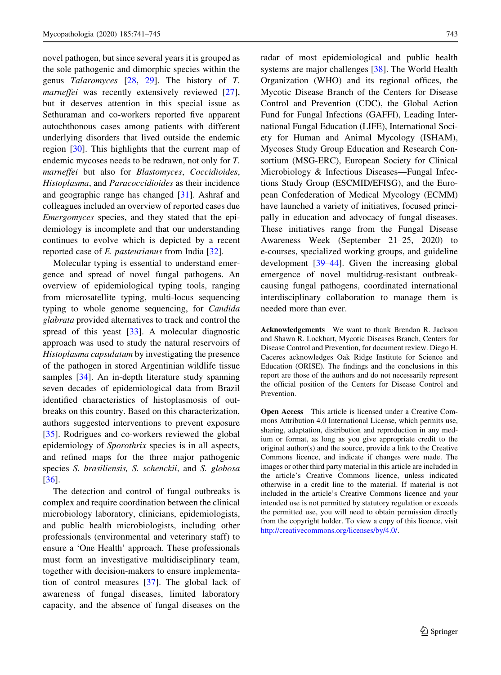novel pathogen, but since several years it is grouped as the sole pathogenic and dimorphic species within the genus Talaromyces [\[28](#page-4-0), [29\]](#page-4-0). The history of T. marneffei was recently extensively reviewed [\[27](#page-3-0)], but it deserves attention in this special issue as Sethuraman and co-workers reported five apparent autochthonous cases among patients with different underlying disorders that lived outside the endemic region [[30\]](#page-4-0). This highlights that the current map of endemic mycoses needs to be redrawn, not only for T. marneffei but also for Blastomyces, Coccidioides, Histoplasma, and Paracoccidioides as their incidence and geographic range has changed [\[31](#page-4-0)]. Ashraf and colleagues included an overview of reported cases due Emergomyces species, and they stated that the epidemiology is incomplete and that our understanding continues to evolve which is depicted by a recent reported case of E. pasteurianus from India [[32\]](#page-4-0).

Molecular typing is essential to understand emergence and spread of novel fungal pathogens. An overview of epidemiological typing tools, ranging from microsatellite typing, multi-locus sequencing typing to whole genome sequencing, for Candida glabrata provided alternatives to track and control the spread of this yeast [\[33](#page-4-0)]. A molecular diagnostic approach was used to study the natural reservoirs of Histoplasma capsulatum by investigating the presence of the pathogen in stored Argentinian wildlife tissue samples [\[34](#page-4-0)]. An in-depth literature study spanning seven decades of epidemiological data from Brazil identified characteristics of histoplasmosis of outbreaks on this country. Based on this characterization, authors suggested interventions to prevent exposure [\[35](#page-4-0)]. Rodrigues and co-workers reviewed the global epidemiology of Sporothrix species is in all aspects, and refined maps for the three major pathogenic species S. brasiliensis, S. schenckii, and S. globosa [\[36](#page-4-0)].

The detection and control of fungal outbreaks is complex and require coordination between the clinical microbiology laboratory, clinicians, epidemiologists, and public health microbiologists, including other professionals (environmental and veterinary staff) to ensure a 'One Health' approach. These professionals must form an investigative multidisciplinary team, together with decision-makers to ensure implementation of control measures [\[37](#page-4-0)]. The global lack of awareness of fungal diseases, limited laboratory capacity, and the absence of fungal diseases on the

radar of most epidemiological and public health systems are major challenges [[38\]](#page-4-0). The World Health Organization (WHO) and its regional offices, the Mycotic Disease Branch of the Centers for Disease Control and Prevention (CDC), the Global Action Fund for Fungal Infections (GAFFI), Leading International Fungal Education (LIFE), International Society for Human and Animal Mycology (ISHAM), Mycoses Study Group Education and Research Consortium (MSG-ERC), European Society for Clinical Microbiology & Infectious Diseases—Fungal Infections Study Group (ESCMID/EFISG), and the European Confederation of Medical Mycology (ECMM) have launched a variety of initiatives, focused principally in education and advocacy of fungal diseases. These initiatives range from the Fungal Disease Awareness Week (September 21–25, 2020) to e-courses, specialized working groups, and guideline development [\[39–44](#page-4-0)]. Given the increasing global emergence of novel multidrug-resistant outbreakcausing fungal pathogens, coordinated international interdisciplinary collaboration to manage them is needed more than ever.

Acknowledgements We want to thank Brendan R. Jackson and Shawn R. Lockhart, Mycotic Diseases Branch, Centers for Disease Control and Prevention, for document review. Diego H. Caceres acknowledges Oak Ridge Institute for Science and Education (ORISE). The findings and the conclusions in this report are those of the authors and do not necessarily represent the official position of the Centers for Disease Control and Prevention.

Open Access This article is licensed under a Creative Commons Attribution 4.0 International License, which permits use, sharing, adaptation, distribution and reproduction in any medium or format, as long as you give appropriate credit to the original author(s) and the source, provide a link to the Creative Commons licence, and indicate if changes were made. The images or other third party material in this article are included in the article's Creative Commons licence, unless indicated otherwise in a credit line to the material. If material is not included in the article's Creative Commons licence and your intended use is not permitted by statutory regulation or exceeds the permitted use, you will need to obtain permission directly from the copyright holder. To view a copy of this licence, visit <http://creativecommons.org/licenses/by/4.0/>.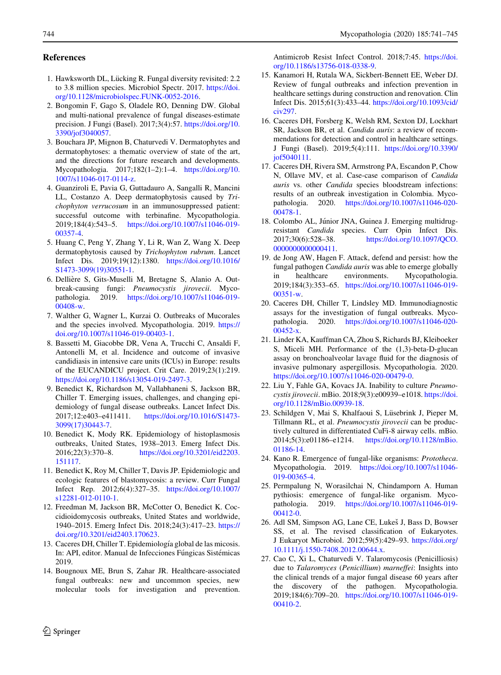## <span id="page-3-0"></span>References

- 1. Hawksworth DL, Lücking R. Fungal diversity revisited: 2.2 to 3.8 million species. Microbiol Spectr. 2017. [https://doi.](https://doi.org/10.1128/microbiolspec.FUNK-0052-2016) [org/10.1128/microbiolspec.FUNK-0052-2016](https://doi.org/10.1128/microbiolspec.FUNK-0052-2016).
- 2. Bongomin F, Gago S, Oladele RO, Denning DW. Global and multi-national prevalence of fungal diseases-estimate precision. J Fungi (Basel). 2017;3(4):57. [https://doi.org/10.](https://doi.org/10.3390/jof3040057) [3390/jof3040057](https://doi.org/10.3390/jof3040057).
- 3. Bouchara JP, Mignon B, Chaturvedi V. Dermatophytes and dermatophytoses: a thematic overview of state of the art, and the directions for future research and developments. Mycopathologia. 2017;182(1–2):1–4. [https://doi.org/10.](https://doi.org/10.1007/s11046-017-0114-z) [1007/s11046-017-0114-z](https://doi.org/10.1007/s11046-017-0114-z).
- 4. Guanziroli E, Pavia G, Guttadauro A, Sangalli R, Mancini LL, Costanzo A. Deep dermatophytosis caused by Trichophyton verrucosum in an immunosuppressed patient: successful outcome with terbinafine. Mycopathologia. 2019;184(4):543–5. [https://doi.org/10.1007/s11046-019-](https://doi.org/10.1007/s11046-019-00357-4) [00357-4.](https://doi.org/10.1007/s11046-019-00357-4)
- 5. Huang C, Peng Y, Zhang Y, Li R, Wan Z, Wang X. Deep dermatophytosis caused by Trichophyton rubrum. Lancet Infect Dis. 2019;19(12):1380. [https://doi.org/10.1016/](https://doi.org/10.1016/S1473-3099(19)30551-1) [S1473-3099\(19\)30551-1](https://doi.org/10.1016/S1473-3099(19)30551-1).
- 6. Dellière S, Gits-Muselli M, Bretagne S, Alanio A. Outbreak-causing fungi: Pneumocystis jirovecii. Mycopathologia. 2019. [https://doi.org/10.1007/s11046-019-](https://doi.org/10.1007/s11046-019-00408-w) [00408-w.](https://doi.org/10.1007/s11046-019-00408-w)
- 7. Walther G, Wagner L, Kurzai O. Outbreaks of Mucorales and the species involved. Mycopathologia. 2019. [https://](https://doi.org/10.1007/s11046-019-00403-1) [doi.org/10.1007/s11046-019-00403-1](https://doi.org/10.1007/s11046-019-00403-1).
- 8. Bassetti M, Giacobbe DR, Vena A, Trucchi C, Ansaldi F, Antonelli M, et al. Incidence and outcome of invasive candidiasis in intensive care units (ICUs) in Europe: results of the EUCANDICU project. Crit Care. 2019;23(1):219. [https://doi.org/10.1186/s13054-019-2497-3.](https://doi.org/10.1186/s13054-019-2497-3)
- 9. Benedict K, Richardson M, Vallabhaneni S, Jackson BR, Chiller T. Emerging issues, challenges, and changing epidemiology of fungal disease outbreaks. Lancet Infect Dis. 2017;12:e403–e411411. [https://doi.org/10.1016/S1473-](https://doi.org/10.1016/S1473-3099(17)30443-7) [3099\(17\)30443-7.](https://doi.org/10.1016/S1473-3099(17)30443-7)
- 10. Benedict K, Mody RK. Epidemiology of histoplasmosis outbreaks, United States, 1938–2013. Emerg Infect Dis.<br>2016:22(3):370-8. https://doi.org/10.3201/eid2203. [https://doi.org/10.3201/eid2203.](https://doi.org/10.3201/eid2203.151117) [151117](https://doi.org/10.3201/eid2203.151117).
- 11. Benedict K, Roy M, Chiller T, Davis JP. Epidemiologic and ecologic features of blastomycosis: a review. Curr Fungal Infect Rep. 2012;6(4):327–35. [https://doi.org/10.1007/](https://doi.org/10.1007/s12281-012-0110-1) [s12281-012-0110-1](https://doi.org/10.1007/s12281-012-0110-1).
- 12. Freedman M, Jackson BR, McCotter O, Benedict K. Coccidioidomycosis outbreaks, United States and worldwide, 1940–2015. Emerg Infect Dis. 2018;24(3):417–23. [https://](https://doi.org/10.3201/eid2403.170623) [doi.org/10.3201/eid2403.170623](https://doi.org/10.3201/eid2403.170623).
- 13. Caceres DH, Chiller T. Epidemiología global de las micosis. In: API, editor. Manual de Infecciones Fúngicas Sistémicas 2019.
- 14. Bougnoux ME, Brun S, Zahar JR. Healthcare-associated fungal outbreaks: new and uncommon species, new molecular tools for investigation and prevention.

Antimicrob Resist Infect Control. 2018;7:45. [https://doi.](https://doi.org/10.1186/s13756-018-0338-9) [org/10.1186/s13756-018-0338-9](https://doi.org/10.1186/s13756-018-0338-9).

- 15. Kanamori H, Rutala WA, Sickbert-Bennett EE, Weber DJ. Review of fungal outbreaks and infection prevention in healthcare settings during construction and renovation. Clin Infect Dis. 2015;61(3):433–44. [https://doi.org/10.1093/cid/](https://doi.org/10.1093/cid/civ297) [civ297.](https://doi.org/10.1093/cid/civ297)
- 16. Caceres DH, Forsberg K, Welsh RM, Sexton DJ, Lockhart SR, Jackson BR, et al. Candida auris: a review of recommendations for detection and control in healthcare settings. J Fungi (Basel). 2019;5(4):111. [https://doi.org/10.3390/](https://doi.org/10.3390/jof5040111) [jof5040111.](https://doi.org/10.3390/jof5040111)
- 17. Caceres DH, Rivera SM, Armstrong PA, Escandon P, Chow N, Ollave MV, et al. Case-case comparison of Candida auris vs. other Candida species bloodstream infections: results of an outbreak investigation in Colombia. Mycopathologia. 2020. [https://doi.org/10.1007/s11046-020-](https://doi.org/10.1007/s11046-020-00478-1) [00478-1](https://doi.org/10.1007/s11046-020-00478-1).
- 18. Colombo AL, Júnior JNA, Guinea J. Emerging multidrugresistant Candida species. Curr Opin Infect Dis. 2017;30(6):528–38. [https://doi.org/10.1097/QCO.](https://doi.org/10.1097/QCO.0000000000000411) [0000000000000411.](https://doi.org/10.1097/QCO.0000000000000411)
- 19. de Jong AW, Hagen F. Attack, defend and persist: how the fungal pathogen Candida auris was able to emerge globally in healthcare environments. Mycopathologia. 2019;184(3):353–65. [https://doi.org/10.1007/s11046-019-](https://doi.org/10.1007/s11046-019-00351-w) [00351-w.](https://doi.org/10.1007/s11046-019-00351-w)
- 20. Caceres DH, Chiller T, Lindsley MD. Immunodiagnostic assays for the investigation of fungal outbreaks. Mycopathologia. 2020. [https://doi.org/10.1007/s11046-020-](https://doi.org/10.1007/s11046-020-00452-x) [00452-x](https://doi.org/10.1007/s11046-020-00452-x).
- 21. Linder KA, Kauffman CA, Zhou S, Richards BJ, Kleiboeker S, Miceli MH. Performance of the (1,3)-beta-D-glucan assay on bronchoalveolar lavage fluid for the diagnosis of invasive pulmonary aspergillosis. Mycopathologia. 2020. [https://doi.org/10.1007/s11046-020-00479-0.](https://doi.org/10.1007/s11046-020-00479-0)
- 22. Liu Y, Fahle GA, Kovacs JA. Inability to culture Pneumocystis jirovecii. mBio. 2018;9(3):e00939–e1018. [https://doi.](https://doi.org/10.1128/mBio.00939-18) [org/10.1128/mBio.00939-18.](https://doi.org/10.1128/mBio.00939-18)
- 23. Schildgen V, Mai S, Khalfaoui S, Lüsebrink J, Pieper M, Tillmann RL, et al. Pneumocystis jirovecii can be productively cultured in differentiated CuFi-8 airway cells. mBio. 2014;5(3):e01186–e1214. [https://doi.org/10.1128/mBio.](https://doi.org/10.1128/mBio.01186-14) [01186-14](https://doi.org/10.1128/mBio.01186-14).
- 24. Kano R. Emergence of fungal-like organisms: Prototheca. Mycopathologia. 2019. [https://doi.org/10.1007/s11046-](https://doi.org/10.1007/s11046-019-00365-4) [019-00365-4.](https://doi.org/10.1007/s11046-019-00365-4)
- 25. Permpalung N, Worasilchai N, Chindamporn A. Human pythiosis: emergence of fungal-like organism. Mycopathologia. 2019. [https://doi.org/10.1007/s11046-019-](https://doi.org/10.1007/s11046-019-00412-0) [00412-0](https://doi.org/10.1007/s11046-019-00412-0).
- 26. Adl SM, Simpson AG, Lane CE, Lukeš J, Bass D, Bowser SS, et al. The revised classification of Eukaryotes. J Eukaryot Microbiol. 2012;59(5):429–93. [https://doi.org/](https://doi.org/10.1111/j.1550-7408.2012.00644.x) [10.1111/j.1550-7408.2012.00644.x.](https://doi.org/10.1111/j.1550-7408.2012.00644.x)
- 27. Cao C, Xi L, Chaturvedi V. Talaromycosis (Penicilliosis) due to Talaromyces (Penicillium) marneffei: Insights into the clinical trends of a major fungal disease 60 years after the discovery of the pathogen. Mycopathologia. 2019;184(6):709–20. [https://doi.org/10.1007/s11046-019-](https://doi.org/10.1007/s11046-019-00410-2) [00410-2](https://doi.org/10.1007/s11046-019-00410-2).